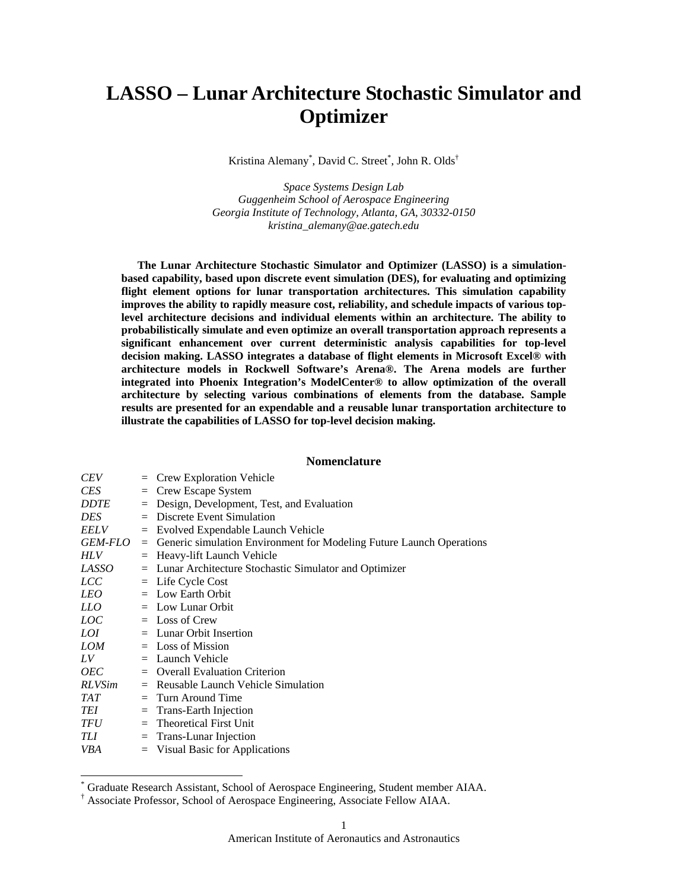# **LASSO – Lunar Architecture Stochastic Simulator and Optimizer**

Kristina Alemany<sup>[\\*](#page-0-0)</sup>, David C. Street<sup>\*</sup>, John R. Olds<sup>[†](#page-0-1)</sup>

*Space Systems Design Lab Guggenheim School of Aerospace Engineering Georgia Institute of Technology, Atlanta, GA, 30332-0150 kristina\_alemany@ae.gatech.edu* 

**The Lunar Architecture Stochastic Simulator and Optimizer (LASSO) is a simulationbased capability, based upon discrete event simulation (DES), for evaluating and optimizing flight element options for lunar transportation architectures. This simulation capability improves the ability to rapidly measure cost, reliability, and schedule impacts of various toplevel architecture decisions and individual elements within an architecture. The ability to probabilistically simulate and even optimize an overall transportation approach represents a significant enhancement over current deterministic analysis capabilities for top-level decision making. LASSO integrates a database of flight elements in Microsoft Excel® with architecture models in Rockwell Software's Arena®. The Arena models are further integrated into Phoenix Integration's ModelCenter® to allow optimization of the overall architecture by selecting various combinations of elements from the database. Sample results are presented for an expendable and a reusable lunar transportation architecture to illustrate the capabilities of LASSO for top-level decision making.** 

# **Nomenclature**

| <b>CEV</b>    |     | $=$ Crew Exploration Vehicle                                           |  |
|---------------|-----|------------------------------------------------------------------------|--|
| <b>CES</b>    |     | Crew Escape System                                                     |  |
| <i>DDTE</i>   | $=$ | Design, Development, Test, and Evaluation                              |  |
| DES           | $=$ | Discrete Event Simulation                                              |  |
| <b>EELV</b>   | $=$ | Evolved Expendable Launch Vehicle                                      |  |
| GEM-FLO       |     | = Generic simulation Environment for Modeling Future Launch Operations |  |
| <b>HLV</b>    |     | Heavy-lift Launch Vehicle                                              |  |
| LASSO         |     | Lunar Architecture Stochastic Simulator and Optimizer                  |  |
| <i>LCC</i>    |     | $=$ Life Cycle Cost                                                    |  |
| <i>LEO</i>    |     | $=$ Low Earth Orbit                                                    |  |
| LLO           |     | $=$ Low Lunar Orbit                                                    |  |
| LOC           |     | $=$ Loss of Crew                                                       |  |
| <i>LOI</i>    |     | $=$ Lunar Orbit Insertion                                              |  |
| <i>LOM</i>    |     | $=$ Loss of Mission                                                    |  |
| LV            |     | $=$ Launch Vehicle                                                     |  |
| <i>OEC</i>    |     | <b>Overall Evaluation Criterion</b>                                    |  |
| <b>RLVSim</b> |     | Reusable Launch Vehicle Simulation                                     |  |
| TAT           |     | Turn Around Time                                                       |  |
| TEI           |     | Trans-Earth Injection                                                  |  |
| <b>TFU</b>    |     | $=$ Theoretical First Unit                                             |  |
| TLI           | $=$ | Trans-Lunar Injection                                                  |  |
| VBA           | $=$ | Visual Basic for Applications                                          |  |
|               |     |                                                                        |  |

<span id="page-0-0"></span> <sup>\*</sup> Graduate Research Assistant, School of Aerospace Engineering, Student member AIAA.

<span id="page-0-1"></span><sup>†</sup> Associate Professor, School of Aerospace Engineering, Associate Fellow AIAA.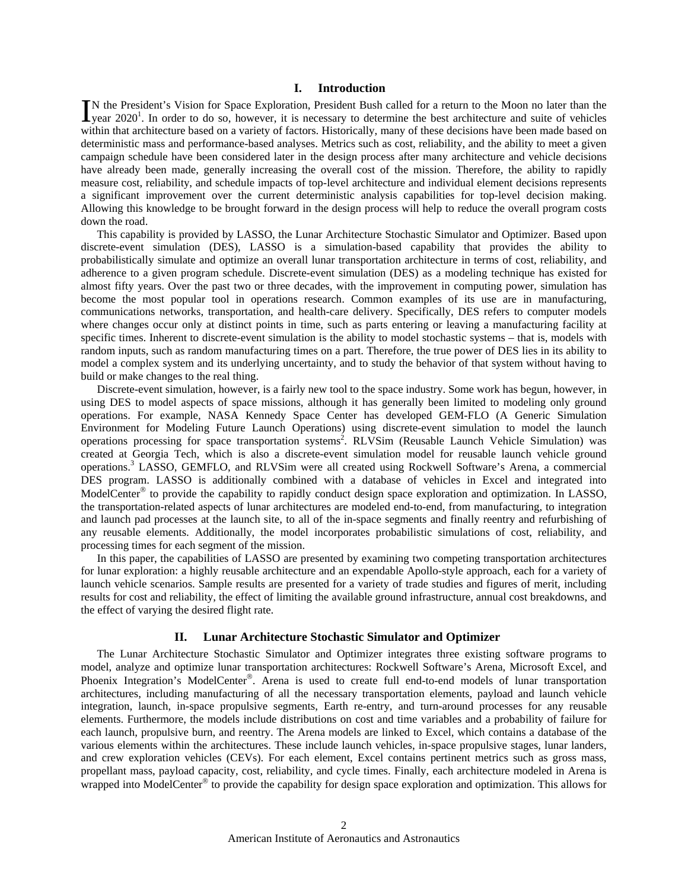# **I. Introduction**

N the President's Vision for Space Exploration, President Bush called for a return to the Moon no later than the  $\sum_{\text{year } 2020^1}$ . In order to do so, however, it is necessary to determine the best architecture and suite of vehicles within that architecture based on a variety of factors. Historically, many of these decisions have been made based on deterministic mass and performance-based analyses. Metrics such as cost, reliability, and the ability to meet a given campaign schedule have been considered later in the design process after many architecture and vehicle decisions have already been made, generally increasing the overall cost of the mission. Therefore, the ability to rapidly measure cost, reliability, and schedule impacts of top-level architecture and individual element decisions represents a significant improvement over the current deterministic analysis capabilities for top-level decision making. Allowing this knowledge to be brought forward in the design process will help to reduce the overall program costs down the road.

This capability is provided by LASSO, the Lunar Architecture Stochastic Simulator and Optimizer. Based upon discrete-event simulation (DES), LASSO is a simulation-based capability that provides the ability to probabilistically simulate and optimize an overall lunar transportation architecture in terms of cost, reliability, and adherence to a given program schedule. Discrete-event simulation (DES) as a modeling technique has existed for almost fifty years. Over the past two or three decades, with the improvement in computing power, simulation has become the most popular tool in operations research. Common examples of its use are in manufacturing, communications networks, transportation, and health-care delivery. Specifically, DES refers to computer models where changes occur only at distinct points in time, such as parts entering or leaving a manufacturing facility at specific times. Inherent to discrete-event simulation is the ability to model stochastic systems – that is, models with random inputs, such as random manufacturing times on a part. Therefore, the true power of DES lies in its ability to model a complex system and its underlying uncertainty, and to study the behavior of that system without having to build or make changes to the real thing.

Discrete-event simulation, however, is a fairly new tool to the space industry. Some work has begun, however, in using DES to model aspects of space missions, although it has generally been limited to modeling only ground operations. For example, NASA Kennedy Space Center has developed GEM-FLO (A Generic Simulation Environment for Modeling Future Launch Operations) using discrete-event simulation to model the launch operations processing for space transportation systems<sup>2</sup>. RLVSim (Reusable Launch Vehicle Simulation) was created at Georgia Tech, which is also a discrete-event simulation model for reusable launch vehicle ground operations.<sup>3</sup> LASSO, GEMFLO, and RLVSim were all created using Rockwell Software's Arena, a commercial DES program. LASSO is additionally combined with a database of vehicles in Excel and integrated into ModelCenter® to provide the capability to rapidly conduct design space exploration and optimization. In LASSO, the transportation-related aspects of lunar architectures are modeled end-to-end, from manufacturing, to integration and launch pad processes at the launch site, to all of the in-space segments and finally reentry and refurbishing of any reusable elements. Additionally, the model incorporates probabilistic simulations of cost, reliability, and processing times for each segment of the mission.

In this paper, the capabilities of LASSO are presented by examining two competing transportation architectures for lunar exploration: a highly reusable architecture and an expendable Apollo-style approach, each for a variety of launch vehicle scenarios. Sample results are presented for a variety of trade studies and figures of merit, including results for cost and reliability, the effect of limiting the available ground infrastructure, annual cost breakdowns, and the effect of varying the desired flight rate.

# **II. Lunar Architecture Stochastic Simulator and Optimizer**

The Lunar Architecture Stochastic Simulator and Optimizer integrates three existing software programs to model, analyze and optimize lunar transportation architectures: Rockwell Software's Arena, Microsoft Excel, and Phoenix Integration's ModelCenter®. Arena is used to create full end-to-end models of lunar transportation architectures, including manufacturing of all the necessary transportation elements, payload and launch vehicle integration, launch, in-space propulsive segments, Earth re-entry, and turn-around processes for any reusable elements. Furthermore, the models include distributions on cost and time variables and a probability of failure for each launch, propulsive burn, and reentry. The Arena models are linked to Excel, which contains a database of the various elements within the architectures. These include launch vehicles, in-space propulsive stages, lunar landers, and crew exploration vehicles (CEVs). For each element, Excel contains pertinent metrics such as gross mass, propellant mass, payload capacity, cost, reliability, and cycle times. Finally, each architecture modeled in Arena is wrapped into ModelCenter<sup>®</sup> to provide the capability for design space exploration and optimization. This allows for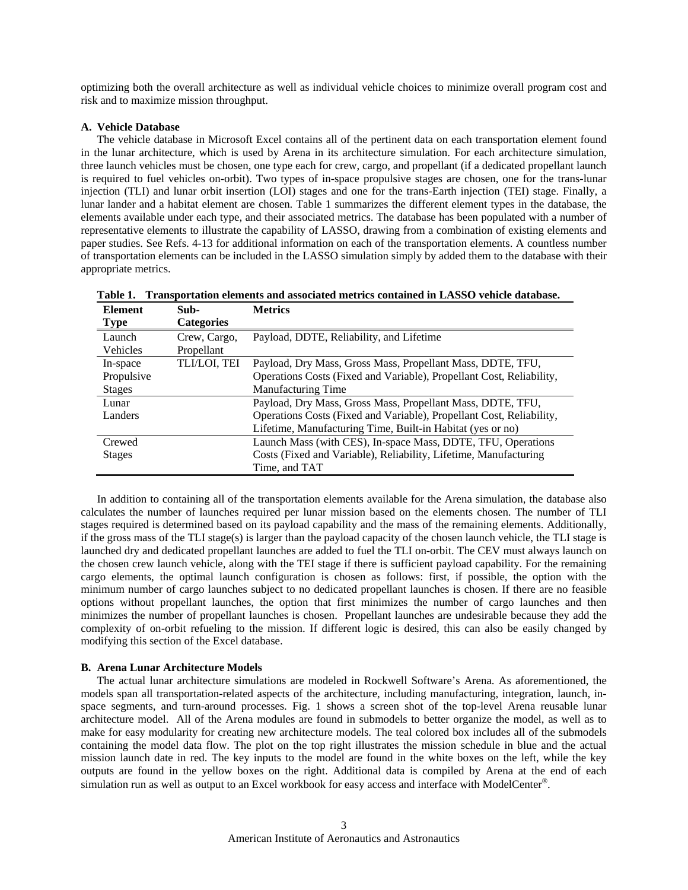optimizing both the overall architecture as well as individual vehicle choices to minimize overall program cost and risk and to maximize mission throughput.

# **A. Vehicle Database**

The vehicle database in Microsoft Excel contains all of the pertinent data on each transportation element found in the lunar architecture, which is used by Arena in its architecture simulation. For each architecture simulation, three launch vehicles must be chosen, one type each for crew, cargo, and propellant (if a dedicated propellant launch is required to fuel vehicles on-orbit). Two types of in-space propulsive stages are chosen, one for the trans-lunar injection (TLI) and lunar orbit insertion (LOI) stages and one for the trans-Earth injection (TEI) stage. Finally, a lunar lander and a habitat element are chosen. Table 1 summarizes the different element types in the database, the elements available under each type, and their associated metrics. The database has been populated with a number of representative elements to illustrate the capability of LASSO, drawing from a combination of existing elements and paper studies. See Refs. 4-13 for additional information on each of the transportation elements. A countless number of transportation elements can be included in the LASSO simulation simply by added them to the database with their appropriate metrics.

| <b>Element</b><br><b>Type</b> | Sub-<br><b>Categories</b> | <b>Metrics</b>                                                       |
|-------------------------------|---------------------------|----------------------------------------------------------------------|
| Launch                        | Crew, Cargo,              | Payload, DDTE, Reliability, and Lifetime                             |
| Vehicles                      | Propellant                |                                                                      |
| In-space                      | TLI/LOI, TEI              | Payload, Dry Mass, Gross Mass, Propellant Mass, DDTE, TFU,           |
| Propulsive                    |                           | Operations Costs (Fixed and Variable), Propellant Cost, Reliability, |
| <b>Stages</b>                 |                           | <b>Manufacturing Time</b>                                            |
| Lunar                         |                           | Payload, Dry Mass, Gross Mass, Propellant Mass, DDTE, TFU,           |
| Landers                       |                           | Operations Costs (Fixed and Variable), Propellant Cost, Reliability, |
|                               |                           | Lifetime, Manufacturing Time, Built-in Habitat (yes or no)           |
| Crewed                        |                           | Launch Mass (with CES), In-space Mass, DDTE, TFU, Operations         |
| <b>Stages</b>                 |                           | Costs (Fixed and Variable), Reliability, Lifetime, Manufacturing     |
|                               |                           | Time, and TAT                                                        |

**Table 1. Transportation elements and associated metrics contained in LASSO vehicle database.** 

In addition to containing all of the transportation elements available for the Arena simulation, the database also calculates the number of launches required per lunar mission based on the elements chosen. The number of TLI stages required is determined based on its payload capability and the mass of the remaining elements. Additionally, if the gross mass of the TLI stage(s) is larger than the payload capacity of the chosen launch vehicle, the TLI stage is launched dry and dedicated propellant launches are added to fuel the TLI on-orbit. The CEV must always launch on the chosen crew launch vehicle, along with the TEI stage if there is sufficient payload capability. For the remaining cargo elements, the optimal launch configuration is chosen as follows: first, if possible, the option with the minimum number of cargo launches subject to no dedicated propellant launches is chosen. If there are no feasible options without propellant launches, the option that first minimizes the number of cargo launches and then minimizes the number of propellant launches is chosen. Propellant launches are undesirable because they add the complexity of on-orbit refueling to the mission. If different logic is desired, this can also be easily changed by modifying this section of the Excel database.

# **B. Arena Lunar Architecture Models**

The actual lunar architecture simulations are modeled in Rockwell Software's Arena. As aforementioned, the models span all transportation-related aspects of the architecture, including manufacturing, integration, launch, inspace segments, and turn-around processes. Fig. 1 shows a screen shot of the top-level Arena reusable lunar architecture model. All of the Arena modules are found in submodels to better organize the model, as well as to make for easy modularity for creating new architecture models. The teal colored box includes all of the submodels containing the model data flow. The plot on the top right illustrates the mission schedule in blue and the actual mission launch date in red. The key inputs to the model are found in the white boxes on the left, while the key outputs are found in the yellow boxes on the right. Additional data is compiled by Arena at the end of each simulation run as well as output to an Excel workbook for easy access and interface with ModelCenter<sup>®</sup>.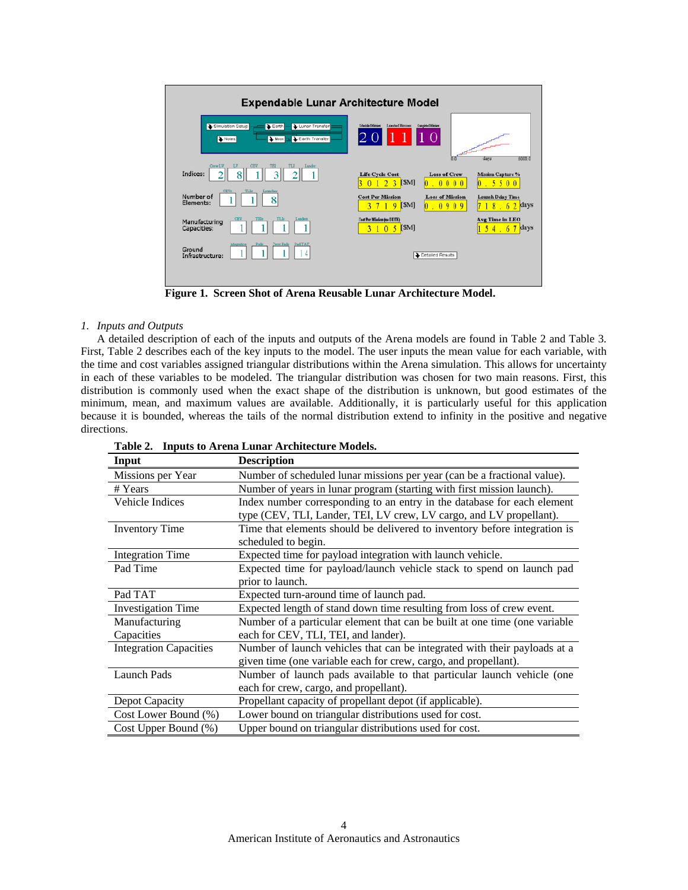

**Figure 1. Screen Shot of Arena Reusable Lunar Architecture Model.** 

# *1. Inputs and Outputs*

A detailed description of each of the inputs and outputs of the Arena models are found in Table 2 and Table 3. First, Table 2 describes each of the key inputs to the model. The user inputs the mean value for each variable, with the time and cost variables assigned triangular distributions within the Arena simulation. This allows for uncertainty in each of these variables to be modeled. The triangular distribution was chosen for two main reasons. First, this distribution is commonly used when the exact shape of the distribution is unknown, but good estimates of the minimum, mean, and maximum values are available. Additionally, it is particularly useful for this application because it is bounded, whereas the tails of the normal distribution extend to infinity in the positive and negative directions.

|                               | Table 2. Impuls to Arena Lunar Architecture Models.                        |
|-------------------------------|----------------------------------------------------------------------------|
| Input                         | <b>Description</b>                                                         |
| Missions per Year             | Number of scheduled lunar missions per year (can be a fractional value).   |
| # Years                       | Number of years in lunar program (starting with first mission launch).     |
| Vehicle Indices               | Index number corresponding to an entry in the database for each element    |
|                               | type (CEV, TLI, Lander, TEI, LV crew, LV cargo, and LV propellant).        |
| <b>Inventory Time</b>         | Time that elements should be delivered to inventory before integration is  |
|                               | scheduled to begin.                                                        |
| <b>Integration Time</b>       | Expected time for payload integration with launch vehicle.                 |
| Pad Time                      | Expected time for payload/launch vehicle stack to spend on launch pad      |
|                               | prior to launch.                                                           |
| Pad TAT                       | Expected turn-around time of launch pad.                                   |
| <b>Investigation Time</b>     | Expected length of stand down time resulting from loss of crew event.      |
| Manufacturing                 | Number of a particular element that can be built at one time (one variable |
| Capacities                    | each for CEV, TLI, TEI, and lander).                                       |
| <b>Integration Capacities</b> | Number of launch vehicles that can be integrated with their payloads at a  |
|                               | given time (one variable each for crew, cargo, and propellant).            |
| <b>Launch Pads</b>            | Number of launch pads available to that particular launch vehicle (one     |
|                               | each for crew, cargo, and propellant).                                     |
| Depot Capacity                | Propellant capacity of propellant depot (if applicable).                   |
| Cost Lower Bound (%)          | Lower bound on triangular distributions used for cost.                     |
| Cost Upper Bound (%)          | Upper bound on triangular distributions used for cost.                     |

**Table 2. Inputs to Arena Lunar Architecture Models.**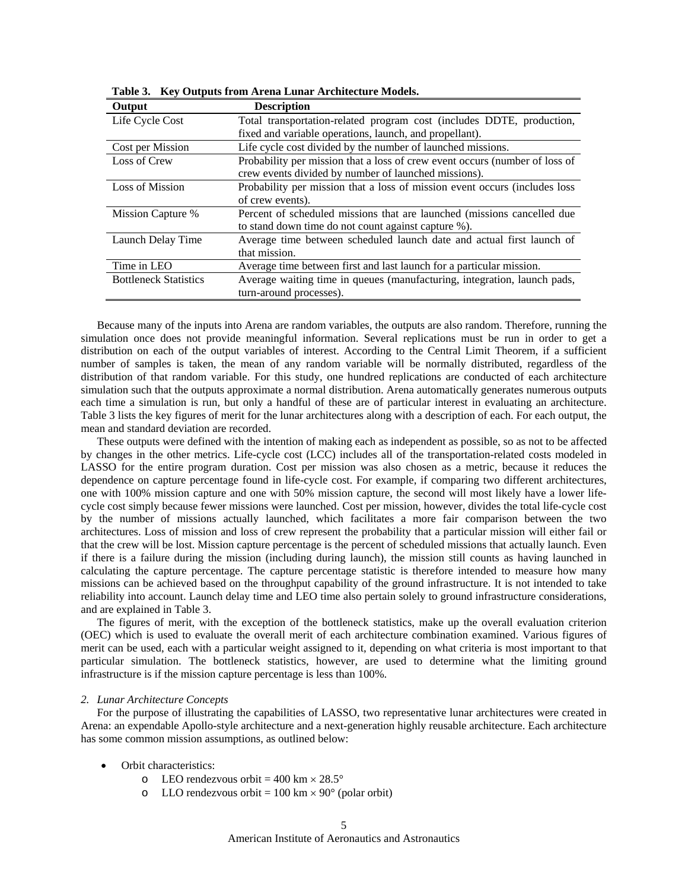| Output                       | <b>Description</b>                                                          |
|------------------------------|-----------------------------------------------------------------------------|
| Life Cycle Cost              | Total transportation-related program cost (includes DDTE, production,       |
|                              | fixed and variable operations, launch, and propellant).                     |
| Cost per Mission             | Life cycle cost divided by the number of launched missions.                 |
| Loss of Crew                 | Probability per mission that a loss of crew event occurs (number of loss of |
|                              | crew events divided by number of launched missions).                        |
| Loss of Mission              | Probability per mission that a loss of mission event occurs (includes loss  |
|                              | of crew events).                                                            |
| <b>Mission Capture %</b>     | Percent of scheduled missions that are launched (missions cancelled due)    |
|                              | to stand down time do not count against capture %).                         |
| Launch Delay Time            | Average time between scheduled launch date and actual first launch of       |
|                              | that mission.                                                               |
| Time in LEO                  | Average time between first and last launch for a particular mission.        |
| <b>Bottleneck Statistics</b> | Average waiting time in queues (manufacturing, integration, launch pads,    |
|                              | turn-around processes).                                                     |

**Table 3. Key Outputs from Arena Lunar Architecture Models.** 

Because many of the inputs into Arena are random variables, the outputs are also random. Therefore, running the simulation once does not provide meaningful information. Several replications must be run in order to get a distribution on each of the output variables of interest. According to the Central Limit Theorem, if a sufficient number of samples is taken, the mean of any random variable will be normally distributed, regardless of the distribution of that random variable. For this study, one hundred replications are conducted of each architecture simulation such that the outputs approximate a normal distribution. Arena automatically generates numerous outputs each time a simulation is run, but only a handful of these are of particular interest in evaluating an architecture. Table 3 lists the key figures of merit for the lunar architectures along with a description of each. For each output, the mean and standard deviation are recorded.

These outputs were defined with the intention of making each as independent as possible, so as not to be affected by changes in the other metrics. Life-cycle cost (LCC) includes all of the transportation-related costs modeled in LASSO for the entire program duration. Cost per mission was also chosen as a metric, because it reduces the dependence on capture percentage found in life-cycle cost. For example, if comparing two different architectures, one with 100% mission capture and one with 50% mission capture, the second will most likely have a lower lifecycle cost simply because fewer missions were launched. Cost per mission, however, divides the total life-cycle cost by the number of missions actually launched, which facilitates a more fair comparison between the two architectures. Loss of mission and loss of crew represent the probability that a particular mission will either fail or that the crew will be lost. Mission capture percentage is the percent of scheduled missions that actually launch. Even if there is a failure during the mission (including during launch), the mission still counts as having launched in calculating the capture percentage. The capture percentage statistic is therefore intended to measure how many missions can be achieved based on the throughput capability of the ground infrastructure. It is not intended to take

and are explained in Table 3. The figures of merit, with the exception of the bottleneck statistics, make up the overall evaluation criterion (OEC) which is used to evaluate the overall merit of each architecture combination examined. Various figures of merit can be used, each with a particular weight assigned to it, depending on what criteria is most important to that particular simulation. The bottleneck statistics, however, are used to determine what the limiting ground infrastructure is if the mission capture percentage is less than 100%.

reliability into account. Launch delay time and LEO time also pertain solely to ground infrastructure considerations,

## *2. Lunar Architecture Concepts*

For the purpose of illustrating the capabilities of LASSO, two representative lunar architectures were created in Arena: an expendable Apollo-style architecture and a next-generation highly reusable architecture. Each architecture has some common mission assumptions, as outlined below:

- Orbit characteristics:
	- o LEO rendezvous orbit =  $400 \text{ km} \times 28.5^{\circ}$
	- o LLO rendezvous orbit =  $100 \text{ km} \times 90^{\circ}$  (polar orbit)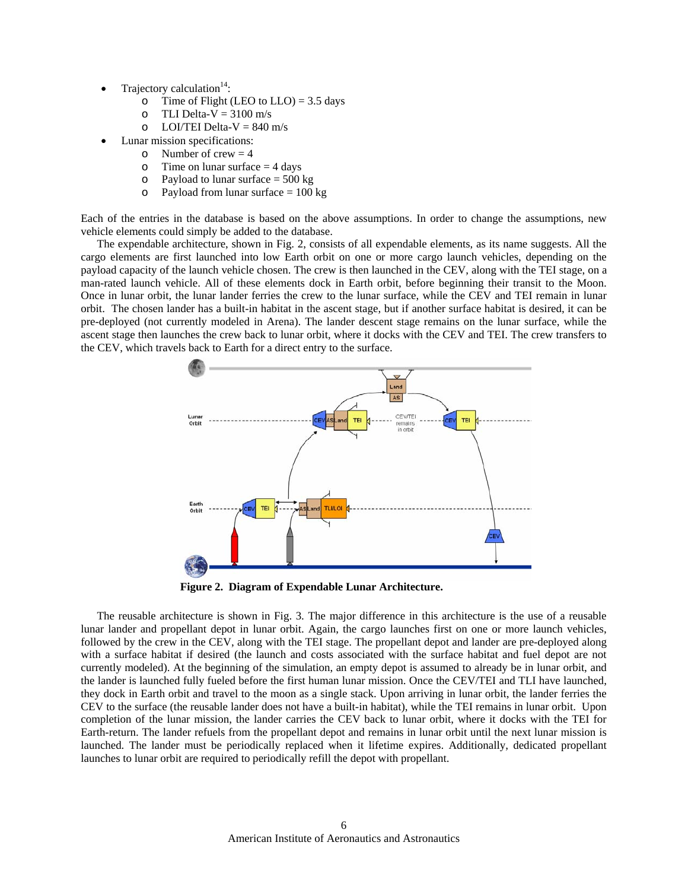- Trajectory calculation $14$ :
	- o Time of Flight (LEO to LLO) =  $3.5$  days
	- o TLI Delta- $V = 3100$  m/s
	- $O$  LOI/TEI Delta-V = 840 m/s
	- Lunar mission specifications:
		- o Number of crew  $= 4$
		- $\circ$  Time on lunar surface = 4 days
		- $\degree$  Payload to lunar surface = 500 kg
		- o Payload from lunar surface  $= 100 \text{ kg}$

Each of the entries in the database is based on the above assumptions. In order to change the assumptions, new vehicle elements could simply be added to the database.

The expendable architecture, shown in Fig. 2, consists of all expendable elements, as its name suggests. All the cargo elements are first launched into low Earth orbit on one or more cargo launch vehicles, depending on the payload capacity of the launch vehicle chosen. The crew is then launched in the CEV, along with the TEI stage, on a man-rated launch vehicle. All of these elements dock in Earth orbit, before beginning their transit to the Moon. Once in lunar orbit, the lunar lander ferries the crew to the lunar surface, while the CEV and TEI remain in lunar orbit. The chosen lander has a built-in habitat in the ascent stage, but if another surface habitat is desired, it can be pre-deployed (not currently modeled in Arena). The lander descent stage remains on the lunar surface, while the ascent stage then launches the crew back to lunar orbit, where it docks with the CEV and TEI. The crew transfers to the CEV, which travels back to Earth for a direct entry to the surface.



**Figure 2. Diagram of Expendable Lunar Architecture.**

The reusable architecture is shown in Fig. 3. The major difference in this architecture is the use of a reusable lunar lander and propellant depot in lunar orbit. Again, the cargo launches first on one or more launch vehicles, followed by the crew in the CEV, along with the TEI stage. The propellant depot and lander are pre-deployed along with a surface habitat if desired (the launch and costs associated with the surface habitat and fuel depot are not currently modeled). At the beginning of the simulation, an empty depot is assumed to already be in lunar orbit, and the lander is launched fully fueled before the first human lunar mission. Once the CEV/TEI and TLI have launched, they dock in Earth orbit and travel to the moon as a single stack. Upon arriving in lunar orbit, the lander ferries the CEV to the surface (the reusable lander does not have a built-in habitat), while the TEI remains in lunar orbit. Upon completion of the lunar mission, the lander carries the CEV back to lunar orbit, where it docks with the TEI for Earth-return. The lander refuels from the propellant depot and remains in lunar orbit until the next lunar mission is launched. The lander must be periodically replaced when it lifetime expires. Additionally, dedicated propellant launches to lunar orbit are required to periodically refill the depot with propellant.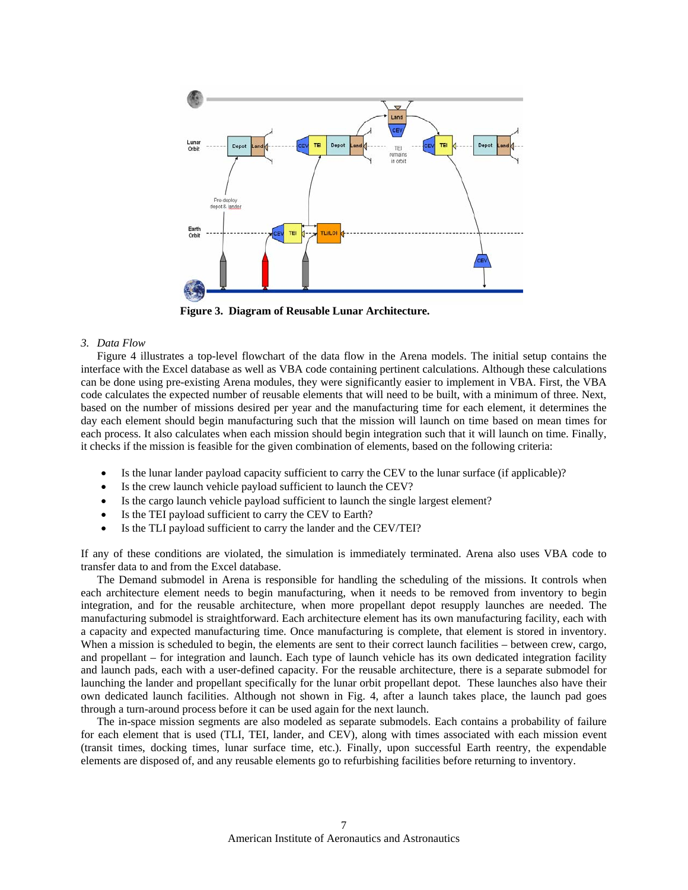

**Figure 3. Diagram of Reusable Lunar Architecture.**

#### *3. Data Flow*

Figure 4 illustrates a top-level flowchart of the data flow in the Arena models. The initial setup contains the interface with the Excel database as well as VBA code containing pertinent calculations. Although these calculations can be done using pre-existing Arena modules, they were significantly easier to implement in VBA. First, the VBA code calculates the expected number of reusable elements that will need to be built, with a minimum of three. Next, based on the number of missions desired per year and the manufacturing time for each element, it determines the day each element should begin manufacturing such that the mission will launch on time based on mean times for each process. It also calculates when each mission should begin integration such that it will launch on time. Finally, it checks if the mission is feasible for the given combination of elements, based on the following criteria:

- Is the lunar lander payload capacity sufficient to carry the CEV to the lunar surface (if applicable)?
- Is the crew launch vehicle payload sufficient to launch the CEV?
- Is the cargo launch vehicle payload sufficient to launch the single largest element?
- Is the TEI payload sufficient to carry the CEV to Earth?
- Is the TLI payload sufficient to carry the lander and the CEV/TEI?

If any of these conditions are violated, the simulation is immediately terminated. Arena also uses VBA code to transfer data to and from the Excel database.

The Demand submodel in Arena is responsible for handling the scheduling of the missions. It controls when each architecture element needs to begin manufacturing, when it needs to be removed from inventory to begin integration, and for the reusable architecture, when more propellant depot resupply launches are needed. The manufacturing submodel is straightforward. Each architecture element has its own manufacturing facility, each with a capacity and expected manufacturing time. Once manufacturing is complete, that element is stored in inventory. When a mission is scheduled to begin, the elements are sent to their correct launch facilities – between crew, cargo, and propellant – for integration and launch. Each type of launch vehicle has its own dedicated integration facility and launch pads, each with a user-defined capacity. For the reusable architecture, there is a separate submodel for launching the lander and propellant specifically for the lunar orbit propellant depot. These launches also have their own dedicated launch facilities. Although not shown in Fig. 4, after a launch takes place, the launch pad goes through a turn-around process before it can be used again for the next launch.

The in-space mission segments are also modeled as separate submodels. Each contains a probability of failure for each element that is used (TLI, TEI, lander, and CEV), along with times associated with each mission event (transit times, docking times, lunar surface time, etc.). Finally, upon successful Earth reentry, the expendable elements are disposed of, and any reusable elements go to refurbishing facilities before returning to inventory.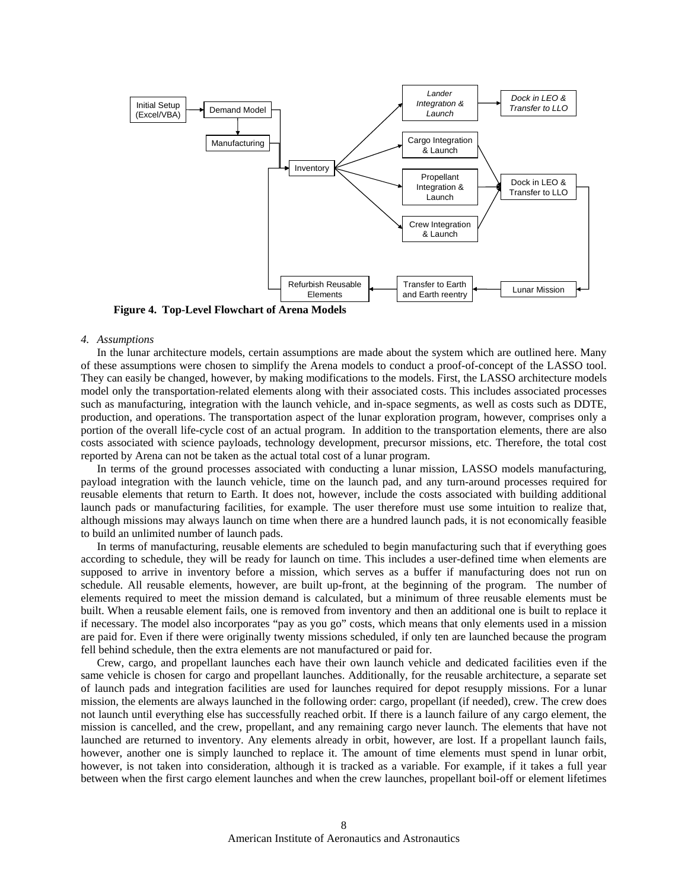

**Figure 4. Top-Level Flowchart of Arena Models**

## *4. Assumptions*

In the lunar architecture models, certain assumptions are made about the system which are outlined here. Many of these assumptions were chosen to simplify the Arena models to conduct a proof-of-concept of the LASSO tool. They can easily be changed, however, by making modifications to the models. First, the LASSO architecture models model only the transportation-related elements along with their associated costs. This includes associated processes such as manufacturing, integration with the launch vehicle, and in-space segments, as well as costs such as DDTE, production, and operations. The transportation aspect of the lunar exploration program, however, comprises only a portion of the overall life-cycle cost of an actual program. In addition to the transportation elements, there are also costs associated with science payloads, technology development, precursor missions, etc. Therefore, the total cost reported by Arena can not be taken as the actual total cost of a lunar program.

In terms of the ground processes associated with conducting a lunar mission, LASSO models manufacturing, payload integration with the launch vehicle, time on the launch pad, and any turn-around processes required for reusable elements that return to Earth. It does not, however, include the costs associated with building additional launch pads or manufacturing facilities, for example. The user therefore must use some intuition to realize that, although missions may always launch on time when there are a hundred launch pads, it is not economically feasible to build an unlimited number of launch pads.

In terms of manufacturing, reusable elements are scheduled to begin manufacturing such that if everything goes according to schedule, they will be ready for launch on time. This includes a user-defined time when elements are supposed to arrive in inventory before a mission, which serves as a buffer if manufacturing does not run on schedule. All reusable elements, however, are built up-front, at the beginning of the program. The number of elements required to meet the mission demand is calculated, but a minimum of three reusable elements must be built. When a reusable element fails, one is removed from inventory and then an additional one is built to replace it if necessary. The model also incorporates "pay as you go" costs, which means that only elements used in a mission are paid for. Even if there were originally twenty missions scheduled, if only ten are launched because the program fell behind schedule, then the extra elements are not manufactured or paid for.

Crew, cargo, and propellant launches each have their own launch vehicle and dedicated facilities even if the same vehicle is chosen for cargo and propellant launches. Additionally, for the reusable architecture, a separate set of launch pads and integration facilities are used for launches required for depot resupply missions. For a lunar mission, the elements are always launched in the following order: cargo, propellant (if needed), crew. The crew does not launch until everything else has successfully reached orbit. If there is a launch failure of any cargo element, the mission is cancelled, and the crew, propellant, and any remaining cargo never launch. The elements that have not launched are returned to inventory. Any elements already in orbit, however, are lost. If a propellant launch fails, however, another one is simply launched to replace it. The amount of time elements must spend in lunar orbit, however, is not taken into consideration, although it is tracked as a variable. For example, if it takes a full year between when the first cargo element launches and when the crew launches, propellant boil-off or element lifetimes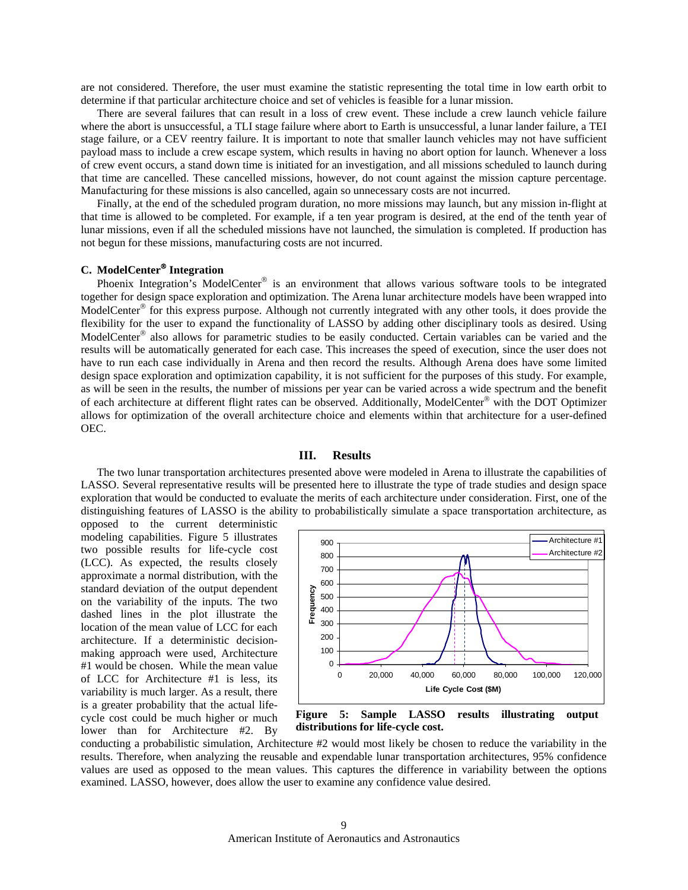are not considered. Therefore, the user must examine the statistic representing the total time in low earth orbit to determine if that particular architecture choice and set of vehicles is feasible for a lunar mission.

There are several failures that can result in a loss of crew event. These include a crew launch vehicle failure where the abort is unsuccessful, a TLI stage failure where abort to Earth is unsuccessful, a lunar lander failure, a TEI stage failure, or a CEV reentry failure. It is important to note that smaller launch vehicles may not have sufficient payload mass to include a crew escape system, which results in having no abort option for launch. Whenever a loss of crew event occurs, a stand down time is initiated for an investigation, and all missions scheduled to launch during that time are cancelled. These cancelled missions, however, do not count against the mission capture percentage. Manufacturing for these missions is also cancelled, again so unnecessary costs are not incurred.

Finally, at the end of the scheduled program duration, no more missions may launch, but any mission in-flight at that time is allowed to be completed. For example, if a ten year program is desired, at the end of the tenth year of lunar missions, even if all the scheduled missions have not launched, the simulation is completed. If production has not begun for these missions, manufacturing costs are not incurred.

# **C. ModelCenter**® **Integration**

Phoenix Integration's ModelCenter<sup>®</sup> is an environment that allows various software tools to be integrated together for design space exploration and optimization. The Arena lunar architecture models have been wrapped into ModelCenter® for this express purpose. Although not currently integrated with any other tools, it does provide the flexibility for the user to expand the functionality of LASSO by adding other disciplinary tools as desired. Using ModelCenter® also allows for parametric studies to be easily conducted. Certain variables can be varied and the results will be automatically generated for each case. This increases the speed of execution, since the user does not have to run each case individually in Arena and then record the results. Although Arena does have some limited design space exploration and optimization capability, it is not sufficient for the purposes of this study. For example, as will be seen in the results, the number of missions per year can be varied across a wide spectrum and the benefit of each architecture at different flight rates can be observed. Additionally, ModelCenter ® with the DOT Optimizer allows for optimization of the overall architecture choice and elements within that architecture for a user-defined OEC.

## **III. Results**

The two lunar transportation architectures presented above were modeled in Arena to illustrate the capabilities of LASSO. Several representative results will be presented here to illustrate the type of trade studies and design space exploration that would be conducted to evaluate the merits of each architecture under consideration. First, one of the distinguishing features of LASSO is the ability to probabilistically simulate a space transportation architecture, as

opposed to the current deterministic modeling capabilities. Figure 5 illustrates two possible results for life-cycle cost (LCC). As expected, the results closely approximate a normal distribution, with the standard deviation of the output dependent on the variability of the inputs. The two dashed lines in the plot illustrate the location of the mean value of LCC for each architecture. If a deterministic decisionmaking approach were used, Architecture #1 would be chosen. While the mean value of LCC for Architecture #1 is less, its variability is much larger. As a result, there is a greater probability that the actual lifecycle cost could be much higher or much lower than for Architecture #2. By



**Figure 5: Sample LASSO results illustrating output distributions for life-cycle cost.**

conducting a probabilistic simulation, Architecture #2 would most likely be chosen to reduce the variability in the results. Therefore, when analyzing the reusable and expendable lunar transportation architectures, 95% confidence values are used as opposed to the mean values. This captures the difference in variability between the options examined. LASSO, however, does allow the user to examine any confidence value desired.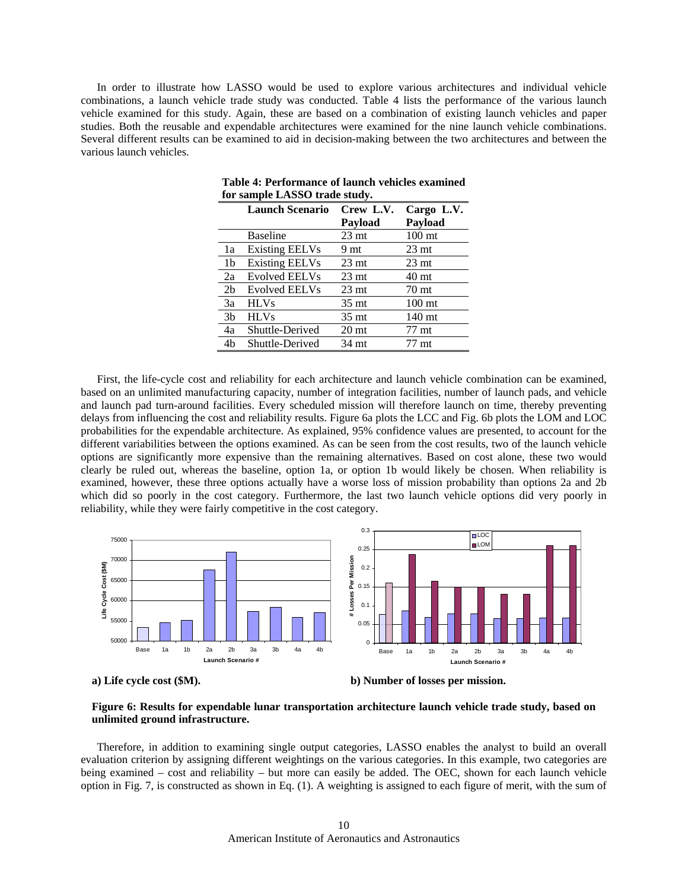In order to illustrate how LASSO would be used to explore various architectures and individual vehicle combinations, a launch vehicle trade study was conducted. Table 4 lists the performance of the various launch vehicle examined for this study. Again, these are based on a combination of existing launch vehicles and paper studies. Both the reusable and expendable architectures were examined for the nine launch vehicle combinations. Several different results can be examined to aid in decision-making between the two architectures and between the various launch vehicles.

|                | <b>Launch Scenario</b> | Crew L.V.        | Cargo L.V.        |
|----------------|------------------------|------------------|-------------------|
|                |                        | Payload          | Payload           |
|                | <b>Baseline</b>        | $23 \text{ mt}$  | 100 <sub>mt</sub> |
| 1a             | <b>Existing EELVs</b>  | 9 mt             | $23 \text{ mt}$   |
| 1b             | <b>Existing EELVs</b>  | $23 \text{ mt}$  | $23 \text{ mt}$   |
| 2a             | <b>Evolved EELVs</b>   | $23 \text{ mt}$  | 40 <sub>mt</sub>  |
| 2 <sub>b</sub> | Evolved EELVs          | $23 \text{ mt}$  | 70 <sub>mt</sub>  |
| 3a             | <b>HLVs</b>            | $35 \text{ mt}$  | 100 <sub>mt</sub> |
| 3b             | <b>HLVs</b>            | 35 mt            | 140 mt            |
| 4a             | Shuttle-Derived        | 20 <sub>mt</sub> | $77 \text{ mt}$   |
| 4 <sub>b</sub> | Shuttle-Derived        | 34 mt            | 77 mt             |

| Table 4: Performance of launch vehicles examined |
|--------------------------------------------------|
| for sample LASSO trade study.                    |

First, the life-cycle cost and reliability for each architecture and launch vehicle combination can be examined, based on an unlimited manufacturing capacity, number of integration facilities, number of launch pads, and vehicle and launch pad turn-around facilities. Every scheduled mission will therefore launch on time, thereby preventing delays from influencing the cost and reliability results. Figure 6a plots the LCC and Fig. 6b plots the LOM and LOC probabilities for the expendable architecture. As explained, 95% confidence values are presented, to account for the different variabilities between the options examined. As can be seen from the cost results, two of the launch vehicle options are significantly more expensive than the remaining alternatives. Based on cost alone, these two would clearly be ruled out, whereas the baseline, option 1a, or option 1b would likely be chosen. When reliability is examined, however, these three options actually have a worse loss of mission probability than options 2a and 2b which did so poorly in the cost category. Furthermore, the last two launch vehicle options did very poorly in reliability, while they were fairly competitive in the cost category.



**a) Life cycle cost (\$M). b) Number of losses per mission.** 

# **Figure 6: Results for expendable lunar transportation architecture launch vehicle trade study, based on unlimited ground infrastructure.**

Therefore, in addition to examining single output categories, LASSO enables the analyst to build an overall evaluation criterion by assigning different weightings on the various categories. In this example, two categories are being examined – cost and reliability – but more can easily be added. The OEC, shown for each launch vehicle option in Fig. 7, is constructed as shown in Eq. (1). A weighting is assigned to each figure of merit, with the sum of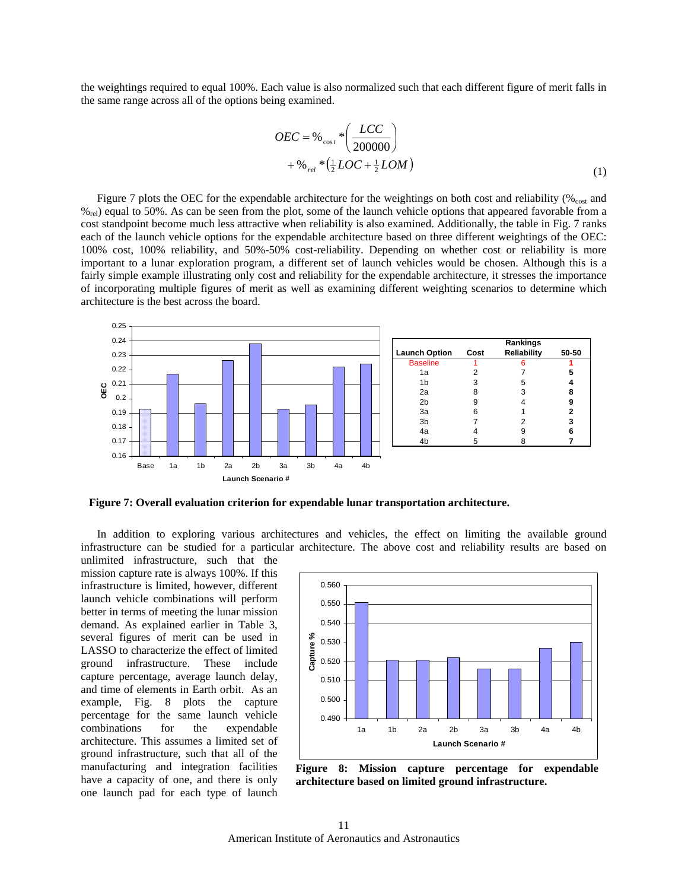the weightings required to equal 100%. Each value is also normalized such that each different figure of merit falls in the same range across all of the options being examined.

$$
OEC = \frac{96}{200000} \times \left(\frac{LCC}{200000}\right) + \frac{96}{2} \times \left(\frac{1}{2} LOC + \frac{1}{2}LOM\right)
$$
 (1)

Figure 7 plots the OEC for the expendable architecture for the weightings on both cost and reliability ( $\%$ <sub>cost</sub> and  $\%_{rel}$ ) equal to 50%. As can be seen from the plot, some of the launch vehicle options that appeared favorable from a cost standpoint become much less attractive when reliability is also examined. Additionally, the table in Fig. 7 ranks each of the launch vehicle options for the expendable architecture based on three different weightings of the OEC: 100% cost, 100% reliability, and 50%-50% cost-reliability. Depending on whether cost or reliability is more important to a lunar exploration program, a different set of launch vehicles would be chosen. Although this is a fairly simple example illustrating only cost and reliability for the expendable architecture, it stresses the importance of incorporating multiple figures of merit as well as examining different weighting scenarios to determine which architecture is the best across the board.



**Figure 7: Overall evaluation criterion for expendable lunar transportation architecture.** 

In addition to exploring various architectures and vehicles, the effect on limiting the available ground infrastructure can be studied for a particular architecture. The above cost and reliability results are based on

unlimited infrastructure, such that the mission capture rate is always 100%. If this infrastructure is limited, however, different launch vehicle combinations will perform better in terms of meeting the lunar mission demand. As explained earlier in Table 3, several figures of merit can be used in LASSO to characterize the effect of limited ground infrastructure. These include capture percentage, average launch delay, and time of elements in Earth orbit. As an example, Fig. 8 plots the capture percentage for the same launch vehicle combinations for the expendable architecture. This assumes a limited set of ground infrastructure, such that all of the manufacturing and integration facilities have a capacity of one, and there is only one launch pad for each type of launch



**Figure 8: Mission capture percentage for expendable architecture based on limited ground infrastructure.**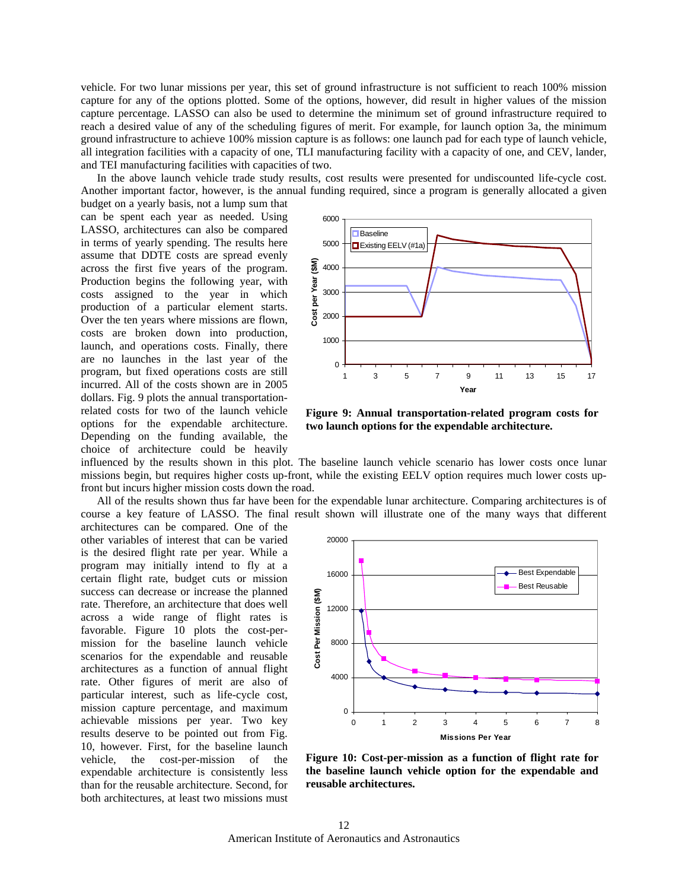vehicle. For two lunar missions per year, this set of ground infrastructure is not sufficient to reach 100% mission capture for any of the options plotted. Some of the options, however, did result in higher values of the mission capture percentage. LASSO can also be used to determine the minimum set of ground infrastructure required to reach a desired value of any of the scheduling figures of merit. For example, for launch option 3a, the minimum ground infrastructure to achieve 100% mission capture is as follows: one launch pad for each type of launch vehicle, all integration facilities with a capacity of one, TLI manufacturing facility with a capacity of one, and CEV, lander, and TEI manufacturing facilities with capacities of two.

In the above launch vehicle trade study results, cost results were presented for undiscounted life-cycle cost. Another important factor, however, is the annual funding required, since a program is generally allocated a given

budget on a yearly basis, not a lump sum that can be spent each year as needed. Using LASSO, architectures can also be compared in terms of yearly spending. The results here assume that DDTE costs are spread evenly across the first five years of the program. Production begins the following year, with costs assigned to the year in which production of a particular element starts. Over the ten years where missions are flown, costs are broken down into production, launch, and operations costs. Finally, there are no launches in the last year of the program, but fixed operations costs are still incurred. All of the costs shown are in 2005 dollars. Fig. 9 plots the annual transportationrelated costs for two of the launch vehicle options for the expendable architecture. Depending on the funding available, the choice of architecture could be heavily



**Figure 9: Annual transportation-related program costs for two launch options for the expendable architecture.**

influenced by the results shown in this plot. The baseline launch vehicle scenario has lower costs once lunar missions begin, but requires higher costs up-front, while the existing EELV option requires much lower costs upfront but incurs higher mission costs down the road.

All of the results shown thus far have been for the expendable lunar architecture. Comparing architectures is of course a key feature of LASSO. The final result shown will illustrate one of the many ways that different

architectures can be compared. One of the other variables of interest that can be varied is the desired flight rate per year. While a program may initially intend to fly at a certain flight rate, budget cuts or mission success can decrease or increase the planned rate. Therefore, an architecture that does well across a wide range of flight rates is favorable. Figure 10 plots the cost-permission for the baseline launch vehicle scenarios for the expendable and reusable architectures as a function of annual flight rate. Other figures of merit are also of particular interest, such as life-cycle cost, mission capture percentage, and maximum achievable missions per year. Two key results deserve to be pointed out from Fig. 10, however. First, for the baseline launch vehicle, the cost-per-mission of the expendable architecture is consistently less than for the reusable architecture. Second, for both architectures, at least two missions must



**Figure 10: Cost-per-mission as a function of flight rate for the baseline launch vehicle option for the expendable and reusable architectures.**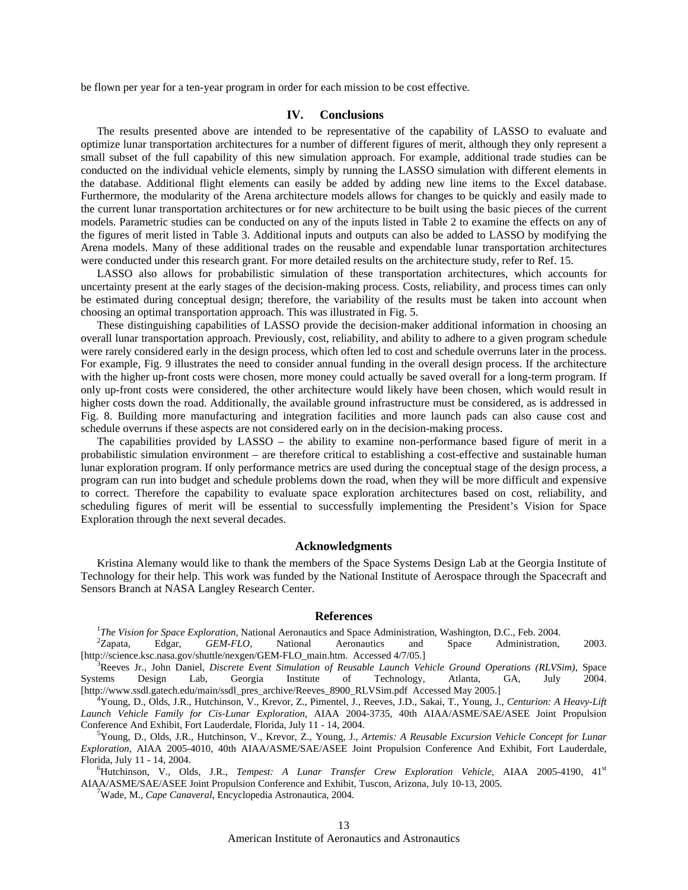be flown per year for a ten-year program in order for each mission to be cost effective.

## **IV. Conclusions**

The results presented above are intended to be representative of the capability of LASSO to evaluate and optimize lunar transportation architectures for a number of different figures of merit, although they only represent a small subset of the full capability of this new simulation approach. For example, additional trade studies can be conducted on the individual vehicle elements, simply by running the LASSO simulation with different elements in the database. Additional flight elements can easily be added by adding new line items to the Excel database. Furthermore, the modularity of the Arena architecture models allows for changes to be quickly and easily made to the current lunar transportation architectures or for new architecture to be built using the basic pieces of the current models. Parametric studies can be conducted on any of the inputs listed in Table 2 to examine the effects on any of the figures of merit listed in Table 3. Additional inputs and outputs can also be added to LASSO by modifying the Arena models. Many of these additional trades on the reusable and expendable lunar transportation architectures were conducted under this research grant. For more detailed results on the architecture study, refer to Ref. 15.

LASSO also allows for probabilistic simulation of these transportation architectures, which accounts for uncertainty present at the early stages of the decision-making process. Costs, reliability, and process times can only be estimated during conceptual design; therefore, the variability of the results must be taken into account when choosing an optimal transportation approach. This was illustrated in Fig. 5.

These distinguishing capabilities of LASSO provide the decision-maker additional information in choosing an overall lunar transportation approach. Previously, cost, reliability, and ability to adhere to a given program schedule were rarely considered early in the design process, which often led to cost and schedule overruns later in the process. For example, Fig. 9 illustrates the need to consider annual funding in the overall design process. If the architecture with the higher up-front costs were chosen, more money could actually be saved overall for a long-term program. If only up-front costs were considered, the other architecture would likely have been chosen, which would result in higher costs down the road. Additionally, the available ground infrastructure must be considered, as is addressed in Fig. 8. Building more manufacturing and integration facilities and more launch pads can also cause cost and schedule overruns if these aspects are not considered early on in the decision-making process.

The capabilities provided by LASSO – the ability to examine non-performance based figure of merit in a probabilistic simulation environment – are therefore critical to establishing a cost-effective and sustainable human lunar exploration program. If only performance metrics are used during the conceptual stage of the design process, a program can run into budget and schedule problems down the road, when they will be more difficult and expensive to correct. Therefore the capability to evaluate space exploration architectures based on cost, reliability, and scheduling figures of merit will be essential to successfully implementing the President's Vision for Space Exploration through the next several decades.

# **Acknowledgments**

Kristina Alemany would like to thank the members of the Space Systems Design Lab at the Georgia Institute of Technology for their help. This work was funded by the National Institute of Aerospace through the Spacecraft and Sensors Branch at NASA Langley Research Center.

#### **References**

<sup>1</sup>The Vision for Space Exploration, National Aeronautics and Space Administration, Washington, D.C., Feb. 2004.

Zapata, Edgar, *GEM-FLO*, National Aeronautics and Space Administration, 2003. [http://science.ksc.nasa.gov/shuttle/nexgen/GEM-FLO\_main.htm. Accessed 4/7/05.]

Reeves Jr., John Daniel, *Discrete Event Simulation of Reusable Launch Vehicle Ground Operations (RLVSim)*, Space Systems Design Lab, Georgia Institute of Technology, Atlanta, GA, July 2004. [http://www.ssdl.gatech.edu/main/ssdl\_pres\_archive/Reeves\_8900\_RLVSim.pdf Accessed May 2005.] <sup>4</sup>

Young, D., Olds, J.R., Hutchinson, V., Krevor, Z., Pimentel, J., Reeves, J.D., Sakai, T., Young, J., *Centurion: A Heavy-Lift Launch Vehicle Family for Cis-Lunar Exploration*, AIAA 2004-3735, 40th AIAA/ASME/SAE/ASEE Joint Propulsion Conference And Exhibit, Fort Lauderdale, Florida, July 11 - 14, 2004.

Young, D., Olds, J.R., Hutchinson, V., Krevor, Z., Young, J., *Artemis: A Reusable Excursion Vehicle Concept for Lunar Exploration*, AIAA 2005-4010, 40th AIAA/ASME/SAE/ASEE Joint Propulsion Conference And Exhibit, Fort Lauderdale, Florida, July 11 - 14, 2004. 6

<sup>6</sup>Hutchinson, V., Olds, J.R., *Tempest: A Lunar Transfer Crew Exploration Vehicle*, AIAA 2005-4190, 41<sup>st</sup> AIAA/ASME/SAE/ASEE Joint Propulsion Conference and Exhibit, Tuscon, Arizona, July 10-13, 2005. 7

Wade, M., *Cape Canaveral*, Encyclopedia Astronautica, 2004.